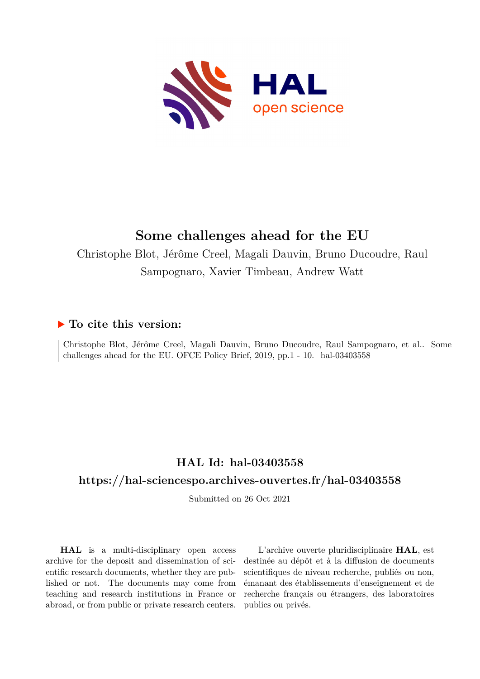

# **Some challenges ahead for the EU**

Christophe Blot, Jérôme Creel, Magali Dauvin, Bruno Ducoudre, Raul Sampognaro, Xavier Timbeau, Andrew Watt

# **To cite this version:**

Christophe Blot, Jérôme Creel, Magali Dauvin, Bruno Ducoudre, Raul Sampognaro, et al.. Some challenges ahead for the EU. OFCE Policy Brief,  $2019$ , pp.1 - 10. hal-03403558

# **HAL Id: hal-03403558**

## **<https://hal-sciencespo.archives-ouvertes.fr/hal-03403558>**

Submitted on 26 Oct 2021

**HAL** is a multi-disciplinary open access archive for the deposit and dissemination of scientific research documents, whether they are published or not. The documents may come from teaching and research institutions in France or abroad, or from public or private research centers.

L'archive ouverte pluridisciplinaire **HAL**, est destinée au dépôt et à la diffusion de documents scientifiques de niveau recherche, publiés ou non, émanant des établissements d'enseignement et de recherche français ou étrangers, des laboratoires publics ou privés.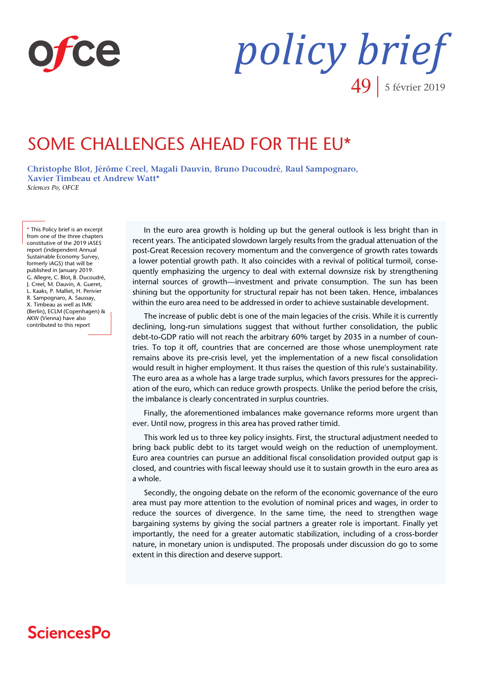

*policy brief* 49 5 février 2019

# SOME CHALLENGES AHEAD FOR THE EU\*

**[Christophe Blot,](https://www.ofce.sciences-po.fr/pages-chercheurs/page.php?id=5) [Jérôme Creel,](https://www.ofce.sciences-po.fr/pages-chercheurs/page.php?id=9) [Magali Dauvin,](https://www.ofce.sciences-po.fr/pages-chercheurs/page.php?id=142) [Bruno Ducoudré,](https://www.ofce.sciences-po.fr/pages-chercheurs/page.php?id=10) [Raul Sampognaro,](https://www.ofce.sciences-po.fr/pages-chercheurs/page.php?id=109)  [Xavier Timbeau et Andrew Watt\\*](https://www.ofce.sciences-po.fr/pages-chercheurs/page.php?id=37)** *Sciences Po, OFCE*

**\*** This Policy brief is an excerpt from one of the three chapters constitutive of the 2019 iASES report (independent Annual Sustainable Economy Survey, formerly iAGS) that will be published in January 2019. G. Allegre, C. Blot, B. Ducoudré, J. Creel, M. Dauvin, A. Gueret, L. Kaaks, P. Malliet, H. Perivier R. Sampognaro, A. Saussay, X. Timbeau as well as IMK (Berlin), ECLM (Copenhagen) & AKW (Vienna) have also contributed to this report

In the euro area growth is holding up but the general outlook is less bright than in recent years. The anticipated slowdown largely results from the gradual attenuation of the post-Great Recession recovery momentum and the convergence of growth rates towards a lower potential growth path. It also coincides with a revival of political turmoil, consequently emphasizing the urgency to deal with external downsize risk by strengthening internal sources of growth—investment and private consumption. The sun has been shining but the opportunity for structural repair has not been taken. Hence, imbalances within the euro area need to be addressed in order to achieve sustainable development.

The increase of public debt is one of the main legacies of the crisis. While it is currently declining, long-run simulations suggest that without further consolidation, the public debt-to-GDP ratio will not reach the arbitrary 60% target by 2035 in a number of countries. To top it off, countries that are concerned are those whose unemployment rate remains above its pre-crisis level, yet the implementation of a new fiscal consolidation would result in higher employment. It thus raises the question of this rule's sustainability. The euro area as a whole has a large trade surplus, which favors pressures for the appreciation of the euro, which can reduce growth prospects. Unlike the period before the crisis, the imbalance is clearly concentrated in surplus countries.

Finally, the aforementioned imbalances make governance reforms more urgent than ever. Until now, progress in this area has proved rather timid.

This work led us to three key policy insights. First, the structural adjustment needed to bring back public debt to its target would weigh on the reduction of unemployment. Euro area countries can pursue an additional fiscal consolidation provided output gap is closed, and countries with fiscal leeway should use it to sustain growth in the euro area as a whole.

Secondly, the ongoing debate on the reform of the economic governance of the euro area must pay more attention to the evolution of nominal prices and wages, in order to reduce the sources of divergence. In the same time, the need to strengthen wage bargaining systems by giving the social partners a greater role is important. Finally yet importantly, the need for a greater automatic stabilization, including of a cross-border nature, in monetary union is undisputed. The proposals under discussion do go to some extent in this direction and deserve support.

# **SciencesPo**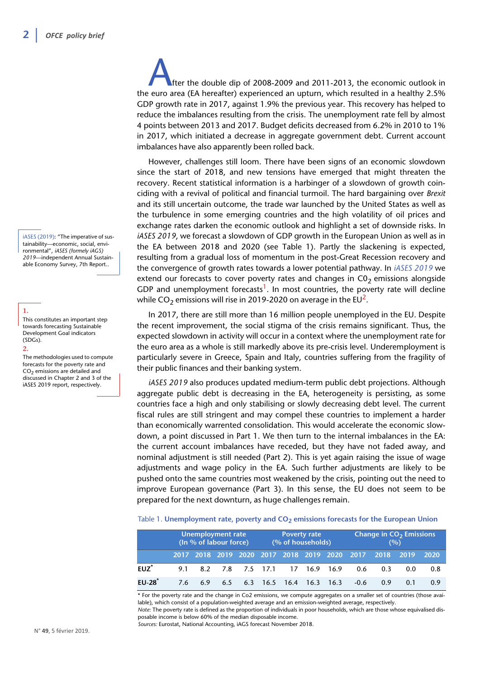iASES (2019): "The imperative of sustainability—economic, social, environmental", *iASES (formely iAGS) 2019*—independent Annual Sustainable Economy Survey, 7th Report..

## **1.**

This constitutes an important step towards forecasting Sustainable Development Goal indicators (SDGs).

#### **2.**

The methodologies used to compute forecasts for the poverty rate and  $CO<sub>2</sub>$  emissions are detailed and discussed in Chapter 2 and 3 of the iASES 2019 report, respectively.

After the double dip of 2008-2009 and 2011-2013, the economic outlook in the euro area (EA hereafter) experienced an upturn, which resulted in a healthy 2.5% GDP growth rate in 2017, against 1.9% the previous year. This recovery has helped to reduce the imbalances resulting from the crisis. The unemployment rate fell by almost 4 points between 2013 and 2017. Budget deficits decreased from 6.2% in 2010 to 1% in 2017, which initiated a decrease in aggregate government debt. Current account imbalances have also apparently been rolled back.

However, challenges still loom. There have been signs of an economic slowdown since the start of 2018, and new tensions have emerged that might threaten the recovery. Recent statistical information is a harbinger of a slowdown of growth coinciding with a revival of political and financial turmoil. The hard bargaining over *Brexit* and its still uncertain outcome, the trade war launched by the United States as well as the turbulence in some emerging countries and the high volatility of oil prices and exchange rates darken the economic outlook and highlight a set of downside risks. In *iASES 2019*, we forecast a slowdown of GDP growth in the European Union as well as in the EA between 2018 and 2020 (see Table 1). Partly the slackening is expected, resulting from a gradual loss of momentum in the post-Great Recession recovery and the convergence of growth rates towards a lower potential pathway. In *iASES 2019* we extend our forecasts to cover poverty rates and changes in  $C_2$  emissions alongside GDP and unemployment forecasts<sup>1</sup>. In most countries, the poverty rate will decline while CO<sub>2</sub> emissions will rise in 2019-2020 on average in the EU<sup>2</sup>.

In 2017, there are still more than 16 million people unemployed in the EU. Despite the recent improvement, the social stigma of the crisis remains significant. Thus, the expected slowdown in activity will occur in a context where the unemployment rate for the euro area as a whole is still markedly above its pre-crisis level. Underemployment is particularly severe in Greece, Spain and Italy, countries suffering from the fragility of their public finances and their banking system.

*iASES 2019* also produces updated medium-term public debt projections. Although aggregate public debt is decreasing in the EA, heterogeneity is persisting, as some countries face a high and only stabilising or slowly decreasing debt level. The current fiscal rules are still stringent and may compel these countries to implement a harder than economically warrented consolidation. This would accelerate the economic slowdown, a point discussed in Part 1. We then turn to the internal imbalances in the EA: the current account imbalances have receded, but they have not faded away, and nominal adjustment is still needed (Part 2). This is yet again raising the issue of wage adjustments and wage policy in the EA. Such further adjustments are likely to be pushed onto the same countries most weakened by the crisis, pointing out the need to improve European governance (Part 3). In this sense, the EU does not seem to be prepared for the next downturn, as huge challenges remain.

#### Table 1. **Unemployment rate, poverty and CO<sub>2</sub> emissions forecasts for the European Union**

|                      | Unemployment rate<br>(In % of labour force) |     |  | <b>Poverty rate</b><br>(% of households) |  |  |                                   | Change in $CO2$ Emissions<br>(%) |                                              |         |      |      |
|----------------------|---------------------------------------------|-----|--|------------------------------------------|--|--|-----------------------------------|----------------------------------|----------------------------------------------|---------|------|------|
|                      |                                             |     |  |                                          |  |  |                                   |                                  | 2017 2018 2019 2020 2017 2018 2019 2020 2017 | $-2018$ | 2019 | 2020 |
| $EUZ^*$              |                                             |     |  |                                          |  |  | 9.1 8.2 7.8 7.5 17.1 17 16.9 16.9 |                                  | 0.6                                          | 0.3     | 0.0  | 0.8  |
| $EU-28$ <sup>*</sup> | 76                                          | 6.9 |  |                                          |  |  | 6.5 6.3 16.5 16.4 16.3 16.3       |                                  | $-0.6$                                       | 0 9     | 0.1  | 0.9  |

\* For the poverty rate and the change in Co2 emissions, we compute aggregates on a smaller set of countries (those available), which consist of a population-weighted average and an emission-weighted average, respectively.

*Note:* The poverty rate is defined as the proportion of individuals in poor households, which are those whose equivalised disposable income is below 60% of the median disposable income.

*Sources:* Eurostat, National Accounting, iAGS forecast November 2018.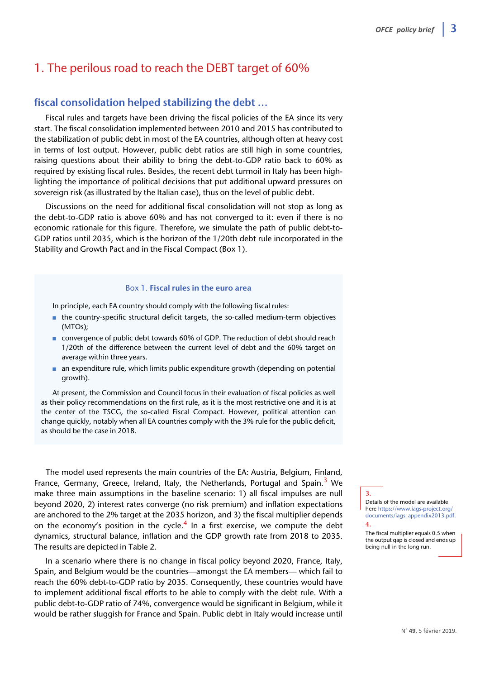# 1. The perilous road to reach the DEBT target of 60%

## **fiscal consolidation helped stabilizing the debt …**

Fiscal rules and targets have been driving the fiscal policies of the EA since its very start. The fiscal consolidation implemented between 2010 and 2015 has contributed to the stabilization of public debt in most of the EA countries, although often at heavy cost in terms of lost output. However, public debt ratios are still high in some countries, raising questions about their ability to bring the debt-to-GDP ratio back to 60% as required by existing fiscal rules. Besides, the recent debt turmoil in Italy has been highlighting the importance of political decisions that put additional upward pressures on sovereign risk (as illustrated by the Italian case), thus on the level of public debt.

Discussions on the need for additional fiscal consolidation will not stop as long as the debt-to-GDP ratio is above 60% and has not converged to it: even if there is no economic rationale for this figure. Therefore, we simulate the path of public debt-to-GDP ratios until 2035, which is the horizon of the 1/20th debt rule incorporated in the Stability and Growth Pact and in the Fiscal Compact (Box 1).

### Box 1. **Fiscal rules in the euro area**

In principle, each EA country should comply with the following fiscal rules:

- the country-specific structural deficit targets, the so-called medium-term objectives (MTOs);
- convergence of public debt towards 60% of GDP. The reduction of debt should reach 1/20th of the difference between the current level of debt and the 60% target on average within three years.
- an expenditure rule, which limits public expenditure growth (depending on potential growth).

At present, the Commission and Council focus in their evaluation of fiscal policies as well as their policy recommendations on the first rule, as it is the most restrictive one and it is at the center of the TSCG, the so-called Fiscal Compact. However, political attention can change quickly, notably when all EA countries comply with the 3% rule for the public deficit, as should be the case in 2018.

The model used represents the main countries of the EA: Austria, Belgium, Finland, France, Germany, Greece, Ireland, Italy, the Netherlands, Portugal and Spain.<sup>3</sup> We make three main assumptions in the baseline scenario: 1) all fiscal impulses are null beyond 2020, 2) interest rates converge (no risk premium) and inflation expectations are anchored to the 2% target at the 2035 horizon, and 3) the fiscal multiplier depends on the economy's position in the cycle.<sup>4</sup> In a first exercise, we compute the debt dynamics, structural balance, inflation and the GDP growth rate from 2018 to 2035. The results are depicted in Table 2.

In a scenario where there is no change in fiscal policy beyond 2020, France, Italy, Spain, and Belgium would be the countries—amongst the EA members— which fail to reach the 60% debt-to-GDP ratio by 2035. Consequently, these countries would have to implement additional fiscal efforts to be able to comply with the debt rule. With a public debt-to-GDP ratio of 74%, convergence would be significant in Belgium, while it would be rather sluggish for France and Spain. Public debt in Italy would increase until

#### **3.**

Details of the model are available here [https://www.iags-project.org/](https://www.iags-project.org/documents/iags_appendix2013.pdf.) [documents/iags\\_appendix2013.pdf.](https://www.iags-project.org/documents/iags_appendix2013.pdf.) **4.**

The fiscal multiplier equals 0.5 when the output gap is closed and ends up being null in the long run.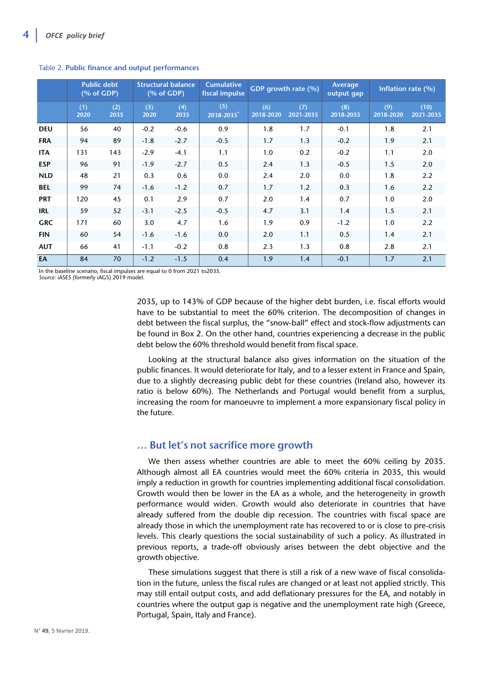|            | <b>Public debt</b><br>(% of GDP) |             | <b>Structural balance</b><br>(% of GDP) |             | <b>Cumulative</b><br>fiscal impulse | GDP growth rate (%) |                  | Average<br>output gap | Inflation rate (%) |                   |
|------------|----------------------------------|-------------|-----------------------------------------|-------------|-------------------------------------|---------------------|------------------|-----------------------|--------------------|-------------------|
|            | (1)<br>2020                      | (2)<br>2035 | (3)<br>2020                             | (4)<br>2035 | (5)<br>2018-2035                    | (6)<br>2018-2020    | (7)<br>2021-2035 | (8)<br>2018-2035      | (9)<br>2018-2020   | (10)<br>2021-2035 |
| <b>DEU</b> | 56                               | 40          | $-0.2$                                  | $-0.6$      | 0.9                                 | 1.8                 | 1.7              | $-0.1$                | 1.8                | 2.1               |
| <b>FRA</b> | 94                               | 89          | $-1.8$                                  | $-2.7$      | $-0.5$                              | 1.7                 | 1.3              | $-0.2$                | 1.9                | 2.1               |
| <b>ITA</b> | 131                              | 143         | $-2.9$                                  | $-4.1$      | 1.1                                 | 1.0                 | 0.2              | $-0.2$                | 1.1                | 2.0               |
| <b>ESP</b> | 96                               | 91          | $-1.9$                                  | $-2.7$      | 0.5                                 | 2.4                 | 1.3              | $-0.5$                | 1.5                | 2.0               |
| <b>NLD</b> | 48                               | 21          | 0.3                                     | 0.6         | 0.0                                 | 2.4                 | 2.0              | 0.0                   | 1.8                | 2.2               |
| <b>BEL</b> | 99                               | 74          | $-1.6$                                  | $-1.2$      | 0.7                                 | 1.7                 | 1.2              | 0.3                   | 1.6                | 2.2               |
| <b>PRT</b> | 120                              | 45          | 0.1                                     | 2.9         | 0.7                                 | 2.0                 | 1.4              | 0.7                   | 1.0                | 2.0               |
| <b>IRL</b> | 59                               | 52          | $-3.1$                                  | $-2.5$      | $-0.5$                              | 4.7                 | 3.1              | 1.4                   | 1.5                | 2.1               |
| <b>GRC</b> | 171                              | 60          | 3.0                                     | 4.7         | 1.6                                 | 1.9                 | 0.9              | $-1.2$                | 1.0                | 2.2               |
| <b>FIN</b> | 60                               | 54          | $-1.6$                                  | $-1.6$      | 0.0                                 | 2.0                 | 1.1              | 0.5                   | 1.4                | 2.1               |
| <b>AUT</b> | 66                               | 41          | $-1.1$                                  | $-0.2$      | 0.8                                 | 2.3                 | 1.3              | 0.8                   | 2.8                | 2.1               |
| EA         | 84                               | 70          | $-1.2$                                  | $-1.5$      | 0.4                                 | 1.9                 | 1.4              | $-0.1$                | 1.7                | 2.1               |

#### Table 2. **Public finance and output performances**

In the baseline scenario, fiscal impulses are equal to 0 from 2021 to2035.

*Source:* iASES (formerly iAGS) 2019 model.

2035, up to 143% of GDP because of the higher debt burden, i.e. fiscal efforts would have to be substantial to meet the 60% criterion. The decomposition of changes in debt between the fiscal surplus, the "snow-ball" effect and stock-flow adjustments can be found in Box 2. On the other hand, countries experiencing a decrease in the public debt below the 60% threshold would benefit from fiscal space.

Looking at the structural balance also gives information on the situation of the public finances. It would deteriorate for Italy, and to a lesser extent in France and Spain, due to a slightly decreasing public debt for these countries (Ireland also, however its ratio is below 60%). The Netherlands and Portugal would benefit from a surplus, increasing the room for manoeuvre to implement a more expansionary fiscal policy in the future.

## **… But let's not sacrifice more growth**

We then assess whether countries are able to meet the 60% ceiling by 2035. Although almost all EA countries would meet the 60% criteria in 2035, this would imply a reduction in growth for countries implementing additional fiscal consolidation. Growth would then be lower in the EA as a whole, and the heterogeneity in growth performance would widen. Growth would also deteriorate in countries that have already suffered from the double dip recession. The countries with fiscal space are already those in which the unemployment rate has recovered to or is close to pre-crisis levels. This clearly questions the social sustainability of such a policy. As illustrated in previous reports, a trade-off obviously arises between the debt objective and the growth objective.

These simulations suggest that there is still a risk of a new wave of fiscal consolidation in the future, unless the fiscal rules are changed or at least not applied strictly. This may still entail output costs, and add deflationary pressures for the EA, and notably in countries where the output gap is negative and the unemployment rate high (Greece, Portugal, Spain, Italy and France).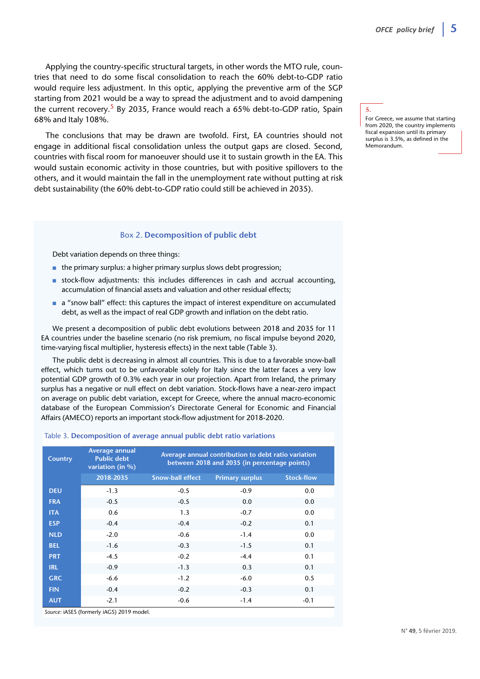Applying the country-specific structural targets, in other words the MTO rule, countries that need to do some fiscal consolidation to reach the 60% debt-to-GDP ratio would require less adjustment. In this optic, applying the preventive arm of the SGP starting from 2021 would be a way to spread the adjustment and to avoid dampening the current recovery.<sup>5</sup> By 2035, France would reach a 65% debt-to-GDP ratio, Spain 68% and Italy 108%.

The conclusions that may be drawn are twofold. First, EA countries should not engage in additional fiscal consolidation unless the output gaps are closed. Second, countries with fiscal room for manoeuver should use it to sustain growth in the EA. This would sustain economic activity in those countries, but with positive spillovers to the others, and it would maintain the fall in the unemployment rate without putting at risk debt sustainability (the 60% debt-to-GDP ratio could still be achieved in 2035).

### Box 2. **Decomposition of public debt**

Debt variation depends on three things:

- the primary surplus: a higher primary surplus slows debt progression;
- stock-flow adjustments: this includes differences in cash and accrual accounting, accumulation of financial assets and valuation and other residual effects;
- a "snow ball" effect: this captures the impact of interest expenditure on accumulated debt, as well as the impact of real GDP growth and inflation on the debt ratio.

We present a decomposition of public debt evolutions between 2018 and 2035 for 11 EA countries under the baseline scenario (no risk premium, no fiscal impulse beyond 2020, time-varying fiscal multiplier, hysteresis effects) in the next table (Table 3).

The public debt is decreasing in almost all countries. This is due to a favorable snow-ball effect, which turns out to be unfavorable solely for Italy since the latter faces a very low potential GDP growth of 0.3% each year in our projection. Apart from Ireland, the primary surplus has a negative or null effect on debt variation. Stock-flows have a near-zero impact on average on public debt variation, except for Greece, where the annual macro-economic database of the European Commission's Directorate General for Economic and Financial Affairs (AMECO) reports an important stock-flow adjustment for 2018-2020.

#### Table 3. **Decomposition of average annual public debt ratio variations**

| <b>Country</b> | <b>Average annual</b><br><b>Public debt</b><br>variation (in %) | Average annual contribution to debt ratio variation<br>between 2018 and 2035 (in percentage points) |                        |                   |  |  |  |  |
|----------------|-----------------------------------------------------------------|-----------------------------------------------------------------------------------------------------|------------------------|-------------------|--|--|--|--|
|                | 2018-2035                                                       | <b>Snow-ball effect</b>                                                                             | <b>Primary surplus</b> | <b>Stock-flow</b> |  |  |  |  |
| <b>DEU</b>     | $-1.3$                                                          | $-0.5$                                                                                              | $-0.9$                 | 0.0               |  |  |  |  |
| <b>FRA</b>     | $-0.5$                                                          | $-0.5$                                                                                              | 0.0                    | 0.0               |  |  |  |  |
| <b>ITA</b>     | 0.6                                                             | 1.3                                                                                                 | $-0.7$                 | 0.0               |  |  |  |  |
| <b>ESP</b>     | $-0.4$                                                          | $-0.4$                                                                                              | $-0.2$                 | 0.1               |  |  |  |  |
| <b>NLD</b>     | $-2.0$                                                          | $-0.6$                                                                                              | $-1.4$                 | 0.0               |  |  |  |  |
| <b>BEL</b>     | $-1.6$                                                          | $-0.3$                                                                                              | $-1.5$                 | 0.1               |  |  |  |  |
| <b>PRT</b>     | $-4.5$                                                          | $-0.2$                                                                                              | $-4.4$                 | 0.1               |  |  |  |  |
| <b>IRL</b>     | $-0.9$                                                          | $-1.3$                                                                                              | 0.3                    | 0.1               |  |  |  |  |
| <b>GRC</b>     | $-6.6$                                                          | $-1.2$                                                                                              | $-6.0$                 | 0.5               |  |  |  |  |
| <b>FIN</b>     | $-0.4$                                                          | $-0.2$                                                                                              | $-0.3$                 | 0.1               |  |  |  |  |
| <b>AUT</b>     | $-2.1$                                                          | $-0.6$                                                                                              | $-1.4$                 | $-0.1$            |  |  |  |  |

*Source:* iASES (formerly iAGS) 2019 model.

# **5.**

For Greece, we assume that starting from 2020, the country implements fiscal expansion until its primary surplus is 3.5%, as defined in the Memorandum.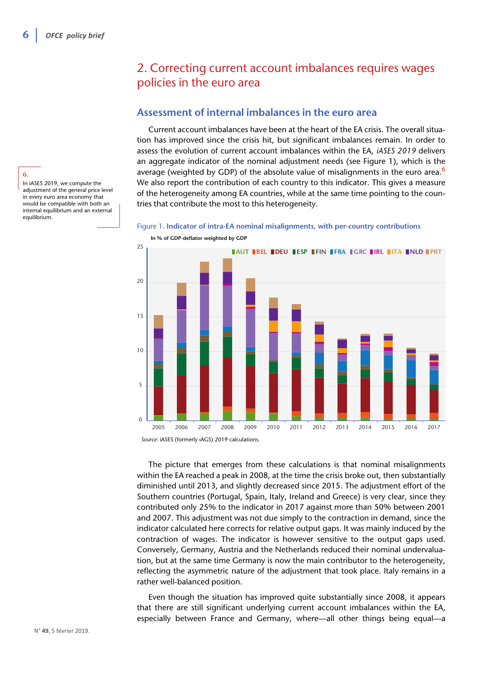# 2. Correcting current account imbalances requires wages policies in the euro area

## **Assessment of internal imbalances in the euro area**

Current account imbalances have been at the heart of the EA crisis. The overall situation has improved since the crisis hit, but significant imbalances remain. In order to assess the evolution of current account imbalances within the EA, *iASES 2019* delivers an aggregate indicator of the nominal adjustment needs (see Figure 1), which is the average (weighted by GDP) of the absolute value of misalignments in the euro area.<sup>6</sup> We also report the contribution of each country to this indicator. This gives a measure of the heterogeneity among EA countries, while at the same time pointing to the countries that contribute the most to this heterogeneity.

# Figure 1. **Indicator of intra-EA nominal misalignments, with per-country contributions**



**In % of GDP-deflator weighted by GDP**

*Source:* iASES (formerly iAGS) 2019 calculations*.*

The picture that emerges from these calculations is that nominal misalignments within the EA reached a peak in 2008, at the time the crisis broke out, then substantially diminished until 2013, and slightly decreased since 2015. The adjustment effort of the Southern countries (Portugal, Spain, Italy, Ireland and Greece) is very clear, since they contributed only 25% to the indicator in 2017 against more than 50% between 2001 and 2007. This adjustment was not due simply to the contraction in demand, since the indicator calculated here corrects for relative output gaps. It was mainly induced by the contraction of wages. The indicator is however sensitive to the output gaps used. Conversely, Germany, Austria and the Netherlands reduced their nominal undervaluation, but at the same time Germany is now the main contributor to the heterogeneity, reflecting the asymmetric nature of the adjustment that took place. Italy remains in a rather well-balanced position.

Even though the situation has improved quite substantially since 2008, it appears that there are still significant underlying current account imbalances within the EA, especially between France and Germany, where—all other things being equal—a

### **6.**

In iASES 2019, we compute the adjustment of the general price level in every euro area economy that would be compatible with both an internal equilibrium and an external equilibrium.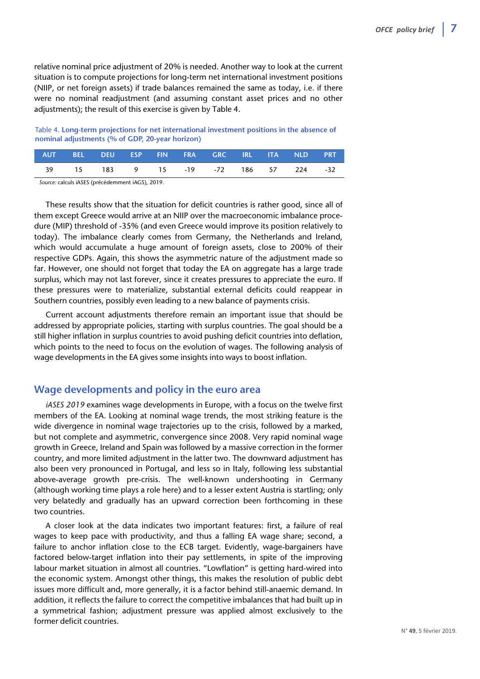relative nominal price adjustment of 20% is needed. Another way to look at the current situation is to compute projections for long-term net international investment positions (NIIP, or net foreign assets) if trade balances remained the same as today, i.e. if there were no nominal readjustment (and assuming constant asset prices and no other adjustments); the result of this exercise is given by Table 4.

Table 4. **Long-term projections for net international investment positions in the absence of nominal adjustments (% of GDP, 20-year horizon)** 

| AUT BEL DEU ESP FIN FRA GRC IRL ITA NLD PRT |                                       |  |  |  |  |
|---------------------------------------------|---------------------------------------|--|--|--|--|
|                                             | 39 15 183 9 15 -19 -72 186 57 224 -32 |  |  |  |  |

*Source:* calculs iASES (précédemment iAGS), 2019.

These results show that the situation for deficit countries is rather good, since all of them except Greece would arrive at an NIIP over the macroeconomic imbalance procedure (MIP) threshold of -35% (and even Greece would improve its position relatively to today). The imbalance clearly comes from Germany, the Netherlands and Ireland, which would accumulate a huge amount of foreign assets, close to 200% of their respective GDPs. Again, this shows the asymmetric nature of the adjustment made so far. However, one should not forget that today the EA on aggregate has a large trade surplus, which may not last forever, since it creates pressures to appreciate the euro. If these pressures were to materialize, substantial external deficits could reappear in Southern countries, possibly even leading to a new balance of payments crisis.

Current account adjustments therefore remain an important issue that should be addressed by appropriate policies, starting with surplus countries. The goal should be a still higher inflation in surplus countries to avoid pushing deficit countries into deflation, which points to the need to focus on the evolution of wages. The following analysis of wage developments in the EA gives some insights into ways to boost inflation.

## **Wage developments and policy in the euro area**

*iASES 2019* examines wage developments in Europe, with a focus on the twelve first members of the EA. Looking at nominal wage trends, the most striking feature is the wide divergence in nominal wage trajectories up to the crisis, followed by a marked, but not complete and asymmetric, convergence since 2008. Very rapid nominal wage growth in Greece, Ireland and Spain was followed by a massive correction in the former country, and more limited adjustment in the latter two. The downward adjustment has also been very pronounced in Portugal, and less so in Italy, following less substantial above-average growth pre-crisis. The well-known undershooting in Germany (although working time plays a role here) and to a lesser extent Austria is startling; only very belatedly and gradually has an upward correction been forthcoming in these two countries.

A closer look at the data indicates two important features: first, a failure of real wages to keep pace with productivity, and thus a falling EA wage share; second, a failure to anchor inflation close to the ECB target. Evidently, wage-bargainers have factored below-target inflation into their pay settlements, in spite of the improving labour market situation in almost all countries. "Lowflation" is getting hard-wired into the economic system. Amongst other things, this makes the resolution of public debt issues more difficult and, more generally, it is a factor behind still-anaemic demand. In addition, it reflects the failure to correct the competitive imbalances that had built up in a symmetrical fashion; adjustment pressure was applied almost exclusively to the former deficit countries.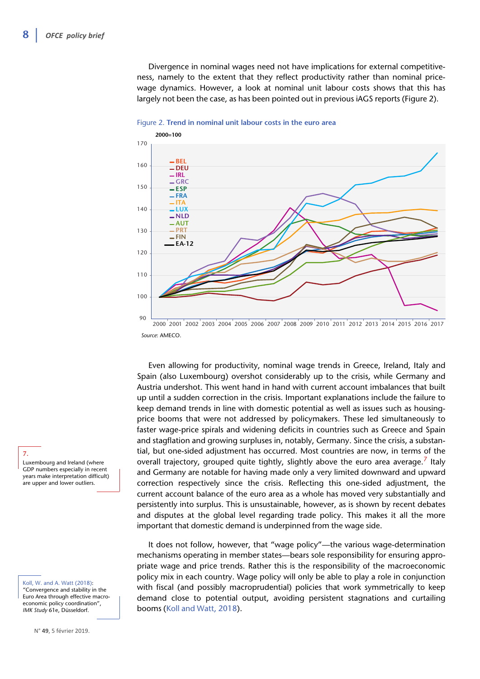Divergence in nominal wages need not have implications for external competitiveness, namely to the extent that they reflect productivity rather than nominal pricewage dynamics. However, a look at nominal unit labour costs shows that this has largely not been the case, as has been pointed out in previous iAGS reports (Figure 2).



#### Figure 2. **Trend in nominal unit labour costs in the euro area**

*Source*: AMECO.

Even allowing for productivity, nominal wage trends in Greece, Ireland, Italy and Spain (also Luxembourg) overshot considerably up to the crisis, while Germany and Austria undershot. This went hand in hand with current account imbalances that built up until a sudden correction in the crisis. Important explanations include the failure to keep demand trends in line with domestic potential as well as issues such as housingprice booms that were not addressed by policymakers. These led simultaneously to faster wage-price spirals and widening deficits in countries such as Greece and Spain and stagflation and growing surpluses in, notably, Germany. Since the crisis, a substantial, but one-sided adjustment has occurred. Most countries are now, in terms of the overall trajectory, grouped quite tightly, slightly above the euro area average.<sup>7</sup> Italy and Germany are notable for having made only a very limited downward and upward correction respectively since the crisis. Reflecting this one-sided adjustment, the current account balance of the euro area as a whole has moved very substantially and persistently into surplus. This is unsustainable, however, as is shown by recent debates and disputes at the global level regarding trade policy. This makes it all the more important that domestic demand is underpinned from the wage side.

It does not follow, however, that "wage policy"—the various wage-determination mechanisms operating in member states—bears sole responsibility for ensuring appropriate wage and price trends. Rather this is the responsibility of the macroeconomic policy mix in each country. Wage policy will only be able to play a role in conjunction with fiscal (and possibly macroprudential) policies that work symmetrically to keep demand close to potential output, avoiding persistent stagnations and curtailing booms (Koll and Watt, 2018).

Luxembourg and Ireland (where GDP numbers especially in recent years make interpretation difficult) are upper and lower outliers.

**7.**

#### Koll, W. and A. Watt (2018):

"Convergence and stability in the Euro Area through effective macroeconomic policy coordination", *IMK Study* 61e, Düsseldorf.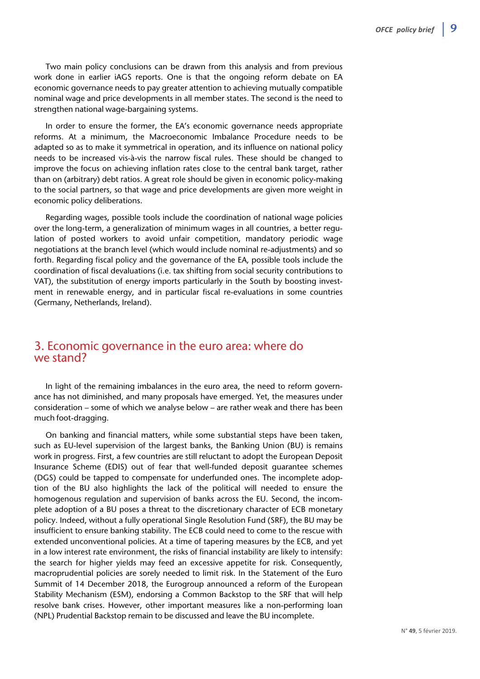Two main policy conclusions can be drawn from this analysis and from previous work done in earlier iAGS reports. One is that the ongoing reform debate on EA economic governance needs to pay greater attention to achieving mutually compatible nominal wage and price developments in all member states. The second is the need to strengthen national wage-bargaining systems.

In order to ensure the former, the EA's economic governance needs appropriate reforms. At a minimum, the Macroeconomic Imbalance Procedure needs to be adapted so as to make it symmetrical in operation, and its influence on national policy needs to be increased vis-à-vis the narrow fiscal rules. These should be changed to improve the focus on achieving inflation rates close to the central bank target, rather than on (arbitrary) debt ratios. A great role should be given in economic policy-making to the social partners, so that wage and price developments are given more weight in economic policy deliberations.

Regarding wages, possible tools include the coordination of national wage policies over the long-term, a generalization of minimum wages in all countries, a better regulation of posted workers to avoid unfair competition, mandatory periodic wage negotiations at the branch level (which would include nominal re-adjustments) and so forth. Regarding fiscal policy and the governance of the EA, possible tools include the coordination of fiscal devaluations (i.e. tax shifting from social security contributions to VAT), the substitution of energy imports particularly in the South by boosting investment in renewable energy, and in particular fiscal re-evaluations in some countries (Germany, Netherlands, Ireland).

# 3. Economic governance in the euro area: where do we stand?

In light of the remaining imbalances in the euro area, the need to reform governance has not diminished, and many proposals have emerged. Yet, the measures under consideration – some of which we analyse below – are rather weak and there has been much foot-dragging.

On banking and financial matters, while some substantial steps have been taken, such as EU-level supervision of the largest banks, the Banking Union (BU) is remains work in progress. First, a few countries are still reluctant to adopt the European Deposit Insurance Scheme (EDIS) out of fear that well-funded deposit guarantee schemes (DGS) could be tapped to compensate for underfunded ones. The incomplete adoption of the BU also highlights the lack of the political will needed to ensure the homogenous regulation and supervision of banks across the EU. Second, the incomplete adoption of a BU poses a threat to the discretionary character of ECB monetary policy. Indeed, without a fully operational Single Resolution Fund (SRF), the BU may be insufficient to ensure banking stability. The ECB could need to come to the rescue with extended unconventional policies. At a time of tapering measures by the ECB, and yet in a low interest rate environment, the risks of financial instability are likely to intensify: the search for higher yields may feed an excessive appetite for risk. Consequently, macroprudential policies are sorely needed to limit risk. In the Statement of the Euro Summit of 14 December 2018, the Eurogroup announced a reform of the European Stability Mechanism (ESM), endorsing a Common Backstop to the SRF that will help resolve bank crises. However, other important measures like a non-performing loan (NPL) Prudential Backstop remain to be discussed and leave the BU incomplete.